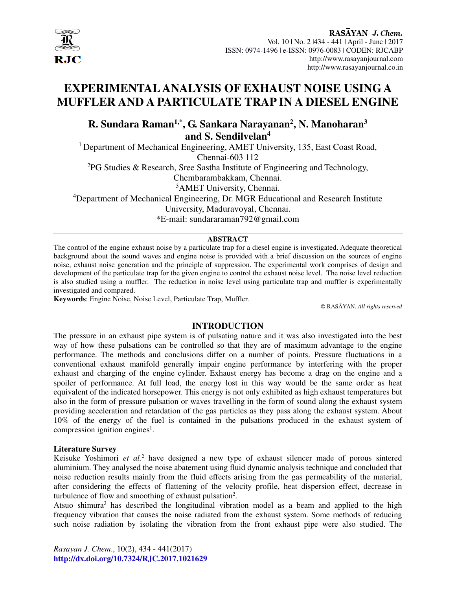

# **EXPERIMENTAL ANALYSIS OF EXHAUST NOISE USING A MUFFLER AND A PARTICULATE TRAP IN A DIESEL ENGINE**

# **R. Sundara Raman1,\*, G. Sankara Narayanan<sup>2</sup> , N. Manoharan<sup>3</sup> and S. Sendilvelan<sup>4</sup>**

<sup>1</sup> Department of Mechanical Engineering, AMET University, 135, East Coast Road, Chennai-603 112 <sup>2</sup>PG Studies & Research, Sree Sastha Institute of Engineering and Technology, Chembarambakkam, Chennai. <sup>3</sup>AMET University, Chennai. <sup>4</sup>Department of Mechanical Engineering, Dr. MGR Educational and Research Institute University, Maduravoyal, Chennai.

\*E-mail: sundararaman792@gmail.com

# **ABSTRACT**

The control of the engine exhaust noise by a particulate trap for a diesel engine is investigated. Adequate theoretical background about the sound waves and engine noise is provided with a brief discussion on the sources of engine noise, exhaust noise generation and the principle of suppression. The experimental work comprises of design and development of the particulate trap for the given engine to control the exhaust noise level. The noise level reduction is also studied using a muffler. The reduction in noise level using particulate trap and muffler is experimentally investigated and compared.

**Keywords**: Engine Noise, Noise Level, Particulate Trap, Muffler.

© RASĀYAN. *All rights reserved*

# **INTRODUCTION**

The pressure in an exhaust pipe system is of pulsating nature and it was also investigated into the best way of how these pulsations can be controlled so that they are of maximum advantage to the engine performance. The methods and conclusions differ on a number of points. Pressure fluctuations in a conventional exhaust manifold generally impair engine performance by interfering with the proper exhaust and charging of the engine cylinder. Exhaust energy has become a drag on the engine and a spoiler of performance. At full load, the energy lost in this way would be the same order as heat equivalent of the indicated horsepower. This energy is not only exhibited as high exhaust temperatures but also in the form of pressure pulsation or waves travelling in the form of sound along the exhaust system providing acceleration and retardation of the gas particles as they pass along the exhaust system. About 10% of the energy of the fuel is contained in the pulsations produced in the exhaust system of compression ignition engines<sup>1</sup>.

# **Literature Survey**

Keisuke Yoshimori *et al.*<sup>2</sup> have designed a new type of exhaust silencer made of porous sintered aluminium. They analysed the noise abatement using fluid dynamic analysis technique and concluded that noise reduction results mainly from the fluid effects arising from the gas permeability of the material, after considering the effects of flattening of the velocity profile, heat dispersion effect, decrease in turbulence of flow and smoothing of exhaust pulsation<sup>2</sup>.

Atsuo shimura<sup>3</sup> has described the longitudinal vibration model as a beam and applied to the high frequency vibration that causes the noise radiated from the exhaust system. Some methods of reducing such noise radiation by isolating the vibration from the front exhaust pipe were also studied. The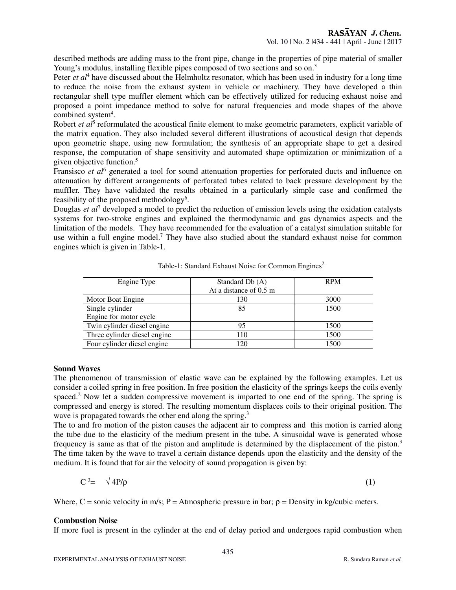described methods are adding mass to the front pipe, change in the properties of pipe material of smaller Young's modulus, installing flexible pipes composed of two sections and so on.<sup>3</sup>

Peter *et al*<sup>4</sup> have discussed about the Helmholtz resonator, which has been used in industry for a long time to reduce the noise from the exhaust system in vehicle or machinery. They have developed a thin rectangular shell type muffler element which can be effectively utilized for reducing exhaust noise and proposed a point impedance method to solve for natural frequencies and mode shapes of the above combined system<sup>4</sup>.

Robert *et al*<sup>5</sup> reformulated the acoustical finite element to make geometric parameters, explicit variable of the matrix equation. They also included several different illustrations of acoustical design that depends upon geometric shape, using new formulation; the synthesis of an appropriate shape to get a desired response, the computation of shape sensitivity and automated shape optimization or minimization of a given objective function.<sup>5</sup>

Fransisco et al<sup>6</sup> generated a tool for sound attenuation properties for perforated ducts and influence on attenuation by different arrangements of perforated tubes related to back pressure development by the muffler. They have validated the results obtained in a particularly simple case and confirmed the feasibility of the proposed methodology<sup>6</sup>.

Douglas *et al*<sup>7</sup> developed a model to predict the reduction of emission levels using the oxidation catalysts systems for two-stroke engines and explained the thermodynamic and gas dynamics aspects and the limitation of the models. They have recommended for the evaluation of a catalyst simulation suitable for use within a full engine model.<sup>7</sup> They have also studied about the standard exhaust noise for common engines which is given in Table-1.

| Engine Type                  | Standard Db (A)        | <b>RPM</b> |
|------------------------------|------------------------|------------|
|                              | At a distance of 0.5 m |            |
| Motor Boat Engine            | 130                    | 3000       |
| Single cylinder              | 85                     | 1500       |
| Engine for motor cycle       |                        |            |
| Twin cylinder diesel engine  | 95                     | 1500       |
| Three cylinder diesel engine | 110                    | 1500       |
| Four cylinder diesel engine  | 120                    | 1500       |

| Table-1: Standard Exhaust Noise for Common Engines <sup>2</sup> |  |  |  |
|-----------------------------------------------------------------|--|--|--|
|                                                                 |  |  |  |
|                                                                 |  |  |  |

# **Sound Waves**

The phenomenon of transmission of elastic wave can be explained by the following examples. Let us consider a coiled spring in free position. In free position the elasticity of the springs keeps the coils evenly spaced.<sup>2</sup> Now let a sudden compressive movement is imparted to one end of the spring. The spring is compressed and energy is stored. The resulting momentum displaces coils to their original position. The wave is propagated towards the other end along the spring.<sup>3</sup>

The to and fro motion of the piston causes the adjacent air to compress and this motion is carried along the tube due to the elasticity of the medium present in the tube. A sinusoidal wave is generated whose frequency is same as that of the piston and amplitude is determined by the displacement of the piston.<sup>3</sup> The time taken by the wave to travel a certain distance depends upon the elasticity and the density of the medium. It is found that for air the velocity of sound propagation is given by:

$$
C^3 = \sqrt{4P/\rho} \tag{1}
$$

Where,  $C$  = sonic velocity in m/s; P = Atmospheric pressure in bar;  $\rho$  = Density in kg/cubic meters.

# **Combustion Noise**

If more fuel is present in the cylinder at the end of delay period and undergoes rapid combustion when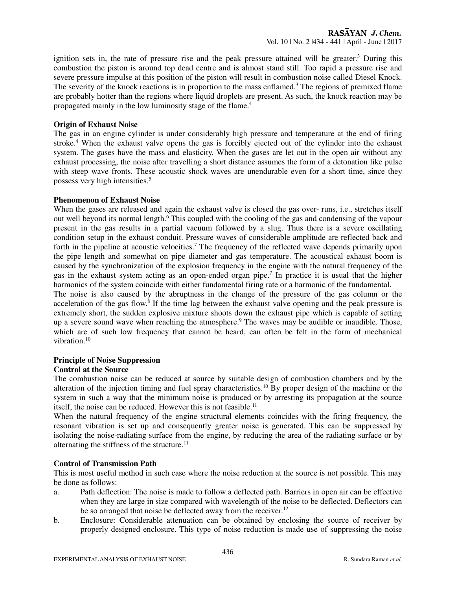ignition sets in, the rate of pressure rise and the peak pressure attained will be greater.<sup>3</sup> During this combustion the piston is around top dead centre and is almost stand still. Too rapid a pressure rise and severe pressure impulse at this position of the piston will result in combustion noise called Diesel Knock. The severity of the knock reactions is in proportion to the mass enflamed.<sup>3</sup> The regions of premixed flame are probably hotter than the regions where liquid droplets are present. As such, the knock reaction may be propagated mainly in the low luminosity stage of the flame.<sup>4</sup>

#### **Origin of Exhaust Noise**

The gas in an engine cylinder is under considerably high pressure and temperature at the end of firing stroke.<sup>4</sup> When the exhaust valve opens the gas is forcibly ejected out of the cylinder into the exhaust system. The gases have the mass and elasticity. When the gases are let out in the open air without any exhaust processing, the noise after travelling a short distance assumes the form of a detonation like pulse with steep wave fronts. These acoustic shock waves are unendurable even for a short time, since they possess very high intensities.<sup>5</sup>

#### **Phenomenon of Exhaust Noise**

When the gases are released and again the exhaust valve is closed the gas over- runs, i.e., stretches itself out well beyond its normal length.<sup>6</sup> This coupled with the cooling of the gas and condensing of the vapour present in the gas results in a partial vacuum followed by a slug. Thus there is a severe oscillating condition setup in the exhaust conduit. Pressure waves of considerable amplitude are reflected back and forth in the pipeline at acoustic velocities.<sup>7</sup> The frequency of the reflected wave depends primarily upon the pipe length and somewhat on pipe diameter and gas temperature. The acoustical exhaust boom is caused by the synchronization of the explosion frequency in the engine with the natural frequency of the gas in the exhaust system acting as an open-ended organ pipe.<sup>7</sup> In practice it is usual that the higher harmonics of the system coincide with either fundamental firing rate or a harmonic of the fundamental.

The noise is also caused by the abruptness in the change of the pressure of the gas column or the acceleration of the gas flow.<sup>8</sup> If the time lag between the exhaust valve opening and the peak pressure is extremely short, the sudden explosive mixture shoots down the exhaust pipe which is capable of setting up a severe sound wave when reaching the atmosphere.<sup>9</sup> The waves may be audible or inaudible. Those, which are of such low frequency that cannot be heard, can often be felt in the form of mechanical vibration.<sup>10</sup>

# **Principle of Noise Suppression**

# **Control at the Source**

The combustion noise can be reduced at source by suitable design of combustion chambers and by the alteration of the injection timing and fuel spray characteristics.<sup>10</sup> By proper design of the machine or the system in such a way that the minimum noise is produced or by arresting its propagation at the source itself, the noise can be reduced. However this is not feasible.<sup>11</sup>

When the natural frequency of the engine structural elements coincides with the firing frequency, the resonant vibration is set up and consequently greater noise is generated. This can be suppressed by isolating the noise-radiating surface from the engine, by reducing the area of the radiating surface or by alternating the stiffness of the structure. $11$ 

# **Control of Transmission Path**

This is most useful method in such case where the noise reduction at the source is not possible. This may be done as follows:

- a. Path deflection: The noise is made to follow a deflected path. Barriers in open air can be effective when they are large in size compared with wavelength of the noise to be deflected. Deflectors can be so arranged that noise be deflected away from the receiver.<sup>12</sup>
- b. Enclosure: Considerable attenuation can be obtained by enclosing the source of receiver by properly designed enclosure. This type of noise reduction is made use of suppressing the noise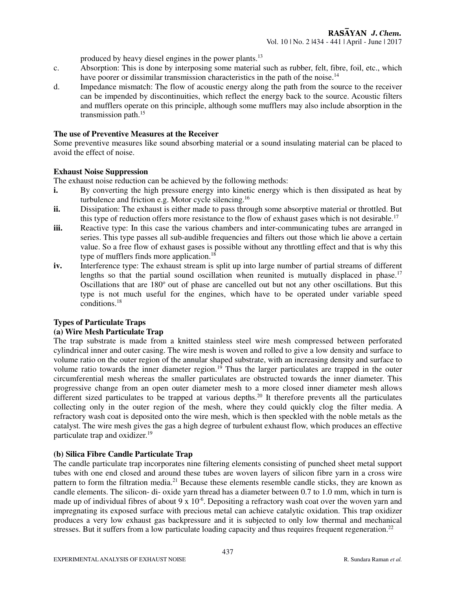produced by heavy diesel engines in the power plants.<sup>13</sup>

- c. Absorption: This is done by interposing some material such as rubber, felt, fibre, foil, etc., which have poorer or dissimilar transmission characteristics in the path of the noise.<sup>14</sup>
- d. Impedance mismatch: The flow of acoustic energy along the path from the source to the receiver can be impended by discontinuities, which reflect the energy back to the source. Acoustic filters and mufflers operate on this principle, although some mufflers may also include absorption in the transmission path.<sup>15</sup>

#### **The use of Preventive Measures at the Receiver**

Some preventive measures like sound absorbing material or a sound insulating material can be placed to avoid the effect of noise.

#### **Exhaust Noise Suppression**

The exhaust noise reduction can be achieved by the following methods:

- **i.** By converting the high pressure energy into kinetic energy which is then dissipated as heat by turbulence and friction e.g. Motor cycle silencing.<sup>16</sup>
- **ii.** Dissipation: The exhaust is either made to pass through some absorptive material or throttled. But this type of reduction offers more resistance to the flow of exhaust gases which is not desirable.<sup>17</sup>
- **iii.** Reactive type: In this case the various chambers and inter-communicating tubes are arranged in series. This type passes all sub-audible frequencies and filters out those which lie above a certain value. So a free flow of exhaust gases is possible without any throttling effect and that is why this type of mufflers finds more application.<sup>18</sup>
- **iv.** Interference type: The exhaust stream is split up into large number of partial streams of different lengths so that the partial sound oscillation when reunited is mutually displaced in phase.<sup>17</sup> Oscillations that are 180° out of phase are cancelled out but not any other oscillations. But this type is not much useful for the engines, which have to be operated under variable speed conditions.<sup>18</sup>

# **Types of Particulate Traps**

# **(a) Wire Mesh Particulate Trap**

The trap substrate is made from a knitted stainless steel wire mesh compressed between perforated cylindrical inner and outer casing. The wire mesh is woven and rolled to give a low density and surface to volume ratio on the outer region of the annular shaped substrate, with an increasing density and surface to volume ratio towards the inner diameter region.<sup>19</sup> Thus the larger particulates are trapped in the outer circumferential mesh whereas the smaller particulates are obstructed towards the inner diameter. This progressive change from an open outer diameter mesh to a more closed inner diameter mesh allows different sized particulates to be trapped at various depths.<sup>20</sup> It therefore prevents all the particulates collecting only in the outer region of the mesh, where they could quickly clog the filter media. A refractory wash coat is deposited onto the wire mesh, which is then speckled with the noble metals as the catalyst. The wire mesh gives the gas a high degree of turbulent exhaust flow, which produces an effective particulate trap and oxidizer.<sup>19</sup>

# **(b) Silica Fibre Candle Particulate Trap**

The candle particulate trap incorporates nine filtering elements consisting of punched sheet metal support tubes with one end closed and around these tubes are woven layers of silicon fibre yarn in a cross wire pattern to form the filtration media.<sup>21</sup> Because these elements resemble candle sticks, they are known as candle elements. The silicon- di- oxide yarn thread has a diameter between 0.7 to 1.0 mm, which in turn is made up of individual fibres of about 9 x  $10^{-6}$ . Depositing a refractory wash coat over the woven yarn and impregnating its exposed surface with precious metal can achieve catalytic oxidation. This trap oxidizer produces a very low exhaust gas backpressure and it is subjected to only low thermal and mechanical stresses. But it suffers from a low particulate loading capacity and thus requires frequent regeneration.<sup>22</sup>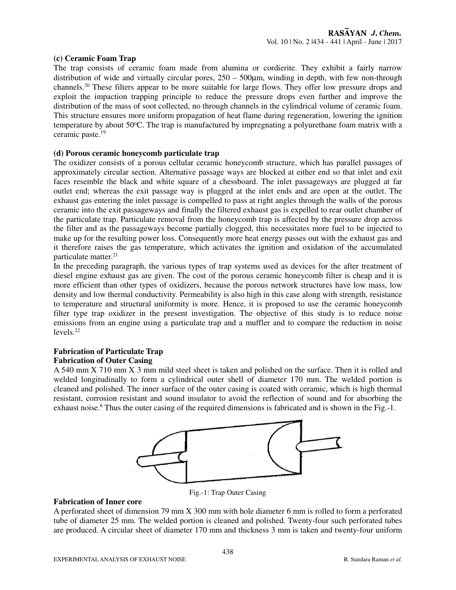#### **(c) Ceramic Foam Trap**

The trap consists of ceramic foam made from alumina or cordierite. They exhibit a fairly narrow distribution of wide and virtually circular pores,  $250 - 500 \mu m$ , winding in depth, with few non-through channels.<sup>20</sup> These filters appear to be more suitable for large flows. They offer low pressure drops and exploit the impaction trapping principle to reduce the pressure drops even further and improve the distribution of the mass of soot collected, no through channels in the cylindrical volume of ceramic foam. This structure ensures more uniform propagation of heat flame during regeneration, lowering the ignition temperature by about 50°C. The trap is manufactured by impregnating a polyurethane foam matrix with a ceramic paste.<sup>19</sup>

#### **(d) Porous ceramic honeycomb particulate trap**

The oxidizer consists of a porous cellular ceramic honeycomb structure, which has parallel passages of approximately circular section. Alternative passage ways are blocked at either end so that inlet and exit faces resemble the black and white square of a chessboard. The inlet passageways are plugged at far outlet end; whereas the exit passage way is plugged at the inlet ends and are open at the outlet. The exhaust gas entering the inlet passage is compelled to pass at right angles through the walls of the porous ceramic into the exit passageways and finally the filtered exhaust gas is expelled to rear outlet chamber of the particulate trap. Particulate removal from the honeycomb trap is affected by the pressure drop across the filter and as the passageways become partially clogged, this necessitates more fuel to be injected to make up for the resulting power loss. Consequently more heat energy passes out with the exhaust gas and it therefore raises the gas temperature, which activates the ignition and oxidation of the accumulated particulate matter.<sup>21</sup>

In the preceding paragraph, the various types of trap systems used as devices for the after treatment of diesel engine exhaust gas are given. The cost of the porous ceramic honeycomb filter is cheap and it is more efficient than other types of oxidizers, because the porous network structures have low mass, low density and low thermal conductivity. Permeability is also high in this case along with strength, resistance to temperature and structural uniformity is more. Hence, it is proposed to use the ceramic honeycomb filter type trap oxidizer in the present investigation. The objective of this study is to reduce noise emissions from an engine using a particulate trap and a muffler and to compare the reduction in noise levels.<sup>22</sup>

#### **Fabrication of Particulate Trap Fabrication of Outer Casing**

A 540 mm X 710 mm X 3 mm mild steel sheet is taken and polished on the surface. Then it is rolled and welded longitudinally to form a cylindrical outer shell of diameter 170 mm. The welded portion is cleaned and polished. The inner surface of the outer casing is coated with ceramic, which is high thermal resistant, corrosion resistant and sound insulator to avoid the reflection of sound and for absorbing the exhaust noise.<sup>6</sup> Thus the outer casing of the required dimensions is fabricated and is shown in the Fig.-1.



Fig.-1: Trap Outer Casing

#### **Fabrication of Inner core**

A perforated sheet of dimension 79 mm X 300 mm with hole diameter 6 mm is rolled to form a perforated tube of diameter 25 mm. The welded portion is cleaned and polished. Twenty-four such perforated tubes are produced. A circular sheet of diameter 170 mm and thickness 3 mm is taken and twenty-four uniform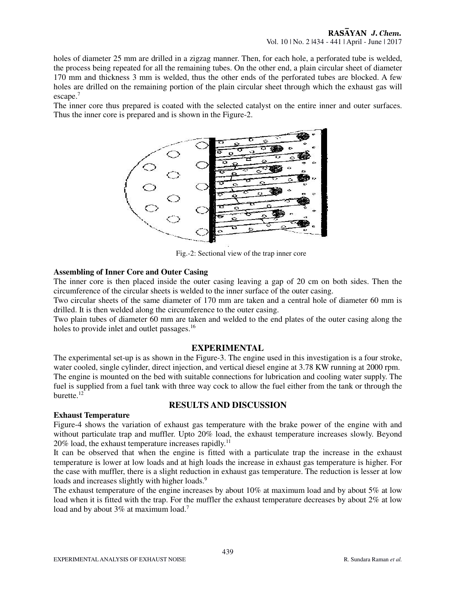holes of diameter 25 mm are drilled in a zigzag manner. Then, for each hole, a perforated tube is welded, the process being repeated for all the remaining tubes. On the other end, a plain circular sheet of diameter 170 mm and thickness 3 mm is welded, thus the other ends of the perforated tubes are blocked. A few holes are drilled on the remaining portion of the plain circular sheet through which the exhaust gas will escape.<sup>7</sup>

The inner core thus prepared is coated with the selected catalyst on the entire inner and outer surfaces. Thus the inner core is prepared and is shown in the Figure-2.



Fig.-2: Sectional view of the trap inner core

#### **Assembling of Inner Core and Outer Casing**

The inner core is then placed inside the outer casing leaving a gap of 20 cm on both sides. Then the circumference of the circular sheets is welded to the inner surface of the outer casing.

Two circular sheets of the same diameter of 170 mm are taken and a central hole of diameter 60 mm is drilled. It is then welded along the circumference to the outer casing.

Two plain tubes of diameter 60 mm are taken and welded to the end plates of the outer casing along the holes to provide inlet and outlet passages.<sup>16</sup>

# **EXPERIMENTAL**

The experimental set-up is as shown in the Figure-3. The engine used in this investigation is a four stroke, water cooled, single cylinder, direct injection, and vertical diesel engine at 3.78 KW running at 2000 rpm. The engine is mounted on the bed with suitable connections for lubrication and cooling water supply. The fuel is supplied from a fuel tank with three way cock to allow the fuel either from the tank or through the burette.<sup>12</sup>

# **RESULTS AND DISCUSSION**

#### **Exhaust Temperature**

Figure-4 shows the variation of exhaust gas temperature with the brake power of the engine with and without particulate trap and muffler. Upto 20% load, the exhaust temperature increases slowly. Beyond 20% load, the exhaust temperature increases rapidly.<sup>11</sup>

It can be observed that when the engine is fitted with a particulate trap the increase in the exhaust temperature is lower at low loads and at high loads the increase in exhaust gas temperature is higher. For the case with muffler, there is a slight reduction in exhaust gas temperature. The reduction is lesser at low loads and increases slightly with higher loads.<sup>9</sup>

The exhaust temperature of the engine increases by about 10% at maximum load and by about 5% at low load when it is fitted with the trap. For the muffler the exhaust temperature decreases by about 2% at low load and by about 3% at maximum load.<sup>7</sup>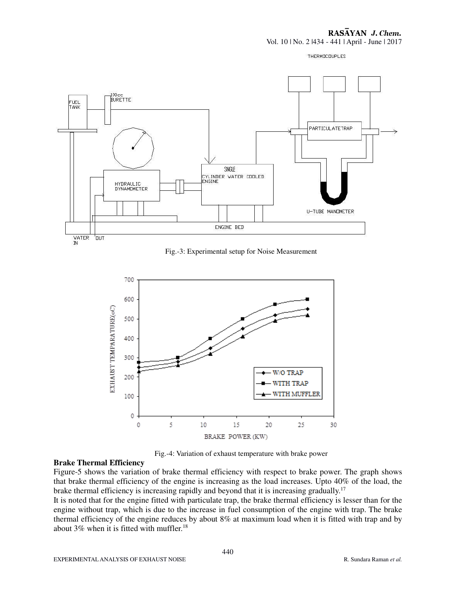#### RASAYAN J. Chem.

Vol. 10 | No. 2 |434 - 441 | April - June | 2017

THERMOCOUPLES



Fig.-3: Experimental setup for Noise Measurement



Fig.-4: Variation of exhaust temperature with brake power

#### **Brake Thermal Efficiency**

Figure-5 shows the variation of brake thermal efficiency with respect to brake power. The graph shows that brake thermal efficiency of the engine is increasing as the load increases. Upto 40% of the load, the brake thermal efficiency is increasing rapidly and beyond that it is increasing gradually.<sup>17</sup>

It is noted that for the engine fitted with particulate trap, the brake thermal efficiency is lesser than for the engine without trap, which is due to the increase in fuel consumption of the engine with trap. The brake thermal efficiency of the engine reduces by about 8% at maximum load when it is fitted with trap and by about 3% when it is fitted with muffler.<sup>18</sup>